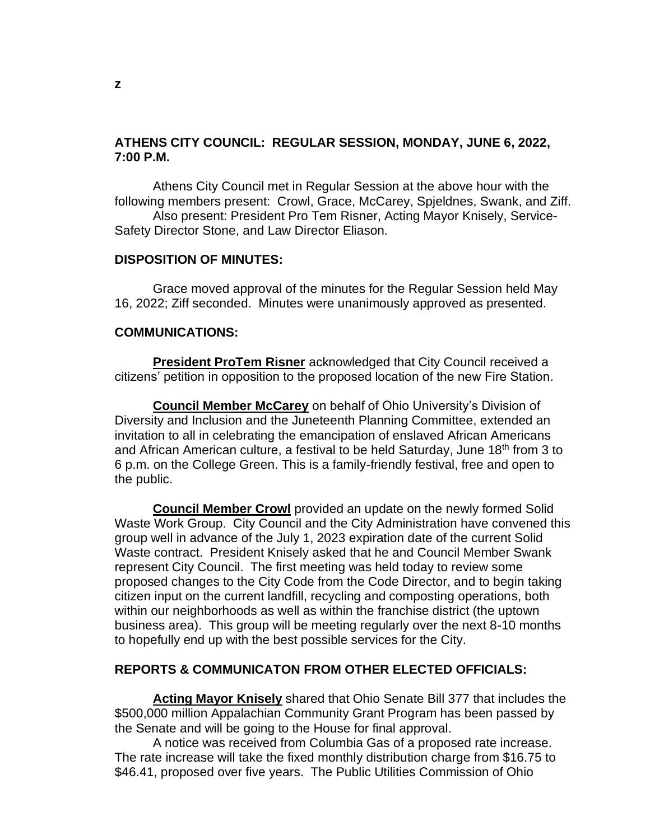## **ATHENS CITY COUNCIL: REGULAR SESSION, MONDAY, JUNE 6, 2022, 7:00 P.M.**

Athens City Council met in Regular Session at the above hour with the following members present: Crowl, Grace, McCarey, Spjeldnes, Swank, and Ziff.

Also present: President Pro Tem Risner, Acting Mayor Knisely, Service-Safety Director Stone, and Law Director Eliason.

### **DISPOSITION OF MINUTES:**

Grace moved approval of the minutes for the Regular Session held May 16, 2022; Ziff seconded. Minutes were unanimously approved as presented.

#### **COMMUNICATIONS:**

**President ProTem Risner** acknowledged that City Council received a citizens' petition in opposition to the proposed location of the new Fire Station.

**Council Member McCarey** on behalf of Ohio University's Division of Diversity and Inclusion and the Juneteenth Planning Committee, extended an invitation to all in celebrating the emancipation of enslaved African Americans and African American culture, a festival to be held Saturday, June 18<sup>th</sup> from 3 to 6 p.m. on the College Green. This is a family-friendly festival, free and open to the public.

**Council Member Crowl** provided an update on the newly formed Solid Waste Work Group. City Council and the City Administration have convened this group well in advance of the July 1, 2023 expiration date of the current Solid Waste contract. President Knisely asked that he and Council Member Swank represent City Council. The first meeting was held today to review some proposed changes to the City Code from the Code Director, and to begin taking citizen input on the current landfill, recycling and composting operations, both within our neighborhoods as well as within the franchise district (the uptown business area). This group will be meeting regularly over the next 8-10 months to hopefully end up with the best possible services for the City.

#### **REPORTS & COMMUNICATON FROM OTHER ELECTED OFFICIALS:**

**Acting Mayor Knisely** shared that Ohio Senate Bill 377 that includes the \$500,000 million Appalachian Community Grant Program has been passed by the Senate and will be going to the House for final approval.

A notice was received from Columbia Gas of a proposed rate increase. The rate increase will take the fixed monthly distribution charge from \$16.75 to \$46.41, proposed over five years. The Public Utilities Commission of Ohio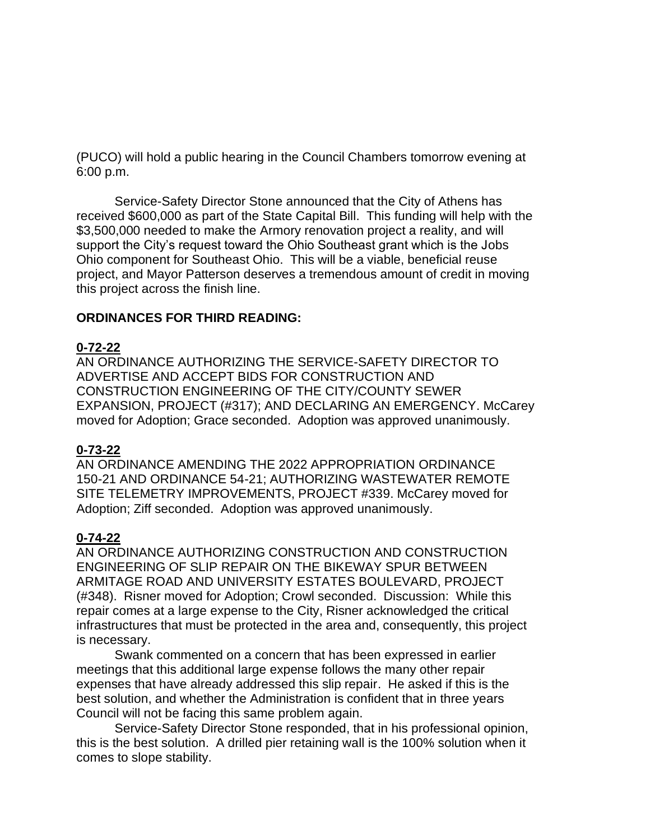(PUCO) will hold a public hearing in the Council Chambers tomorrow evening at 6:00 p.m.

Service-Safety Director Stone announced that the City of Athens has received \$600,000 as part of the State Capital Bill. This funding will help with the \$3,500,000 needed to make the Armory renovation project a reality, and will support the City's request toward the Ohio Southeast grant which is the Jobs Ohio component for Southeast Ohio. This will be a viable, beneficial reuse project, and Mayor Patterson deserves a tremendous amount of credit in moving this project across the finish line.

### **ORDINANCES FOR THIRD READING:**

## **0-72-22**

AN ORDINANCE AUTHORIZING THE SERVICE-SAFETY DIRECTOR TO ADVERTISE AND ACCEPT BIDS FOR CONSTRUCTION AND CONSTRUCTION ENGINEERING OF THE CITY/COUNTY SEWER EXPANSION, PROJECT (#317); AND DECLARING AN EMERGENCY. McCarey moved for Adoption; Grace seconded. Adoption was approved unanimously.

## **0-73-22**

AN ORDINANCE AMENDING THE 2022 APPROPRIATION ORDINANCE 150-21 AND ORDINANCE 54-21; AUTHORIZING WASTEWATER REMOTE SITE TELEMETRY IMPROVEMENTS, PROJECT #339. McCarey moved for Adoption; Ziff seconded. Adoption was approved unanimously.

## **0-74-22**

AN ORDINANCE AUTHORIZING CONSTRUCTION AND CONSTRUCTION ENGINEERING OF SLIP REPAIR ON THE BIKEWAY SPUR BETWEEN ARMITAGE ROAD AND UNIVERSITY ESTATES BOULEVARD, PROJECT (#348). Risner moved for Adoption; Crowl seconded. Discussion: While this repair comes at a large expense to the City, Risner acknowledged the critical infrastructures that must be protected in the area and, consequently, this project is necessary.

Swank commented on a concern that has been expressed in earlier meetings that this additional large expense follows the many other repair expenses that have already addressed this slip repair. He asked if this is the best solution, and whether the Administration is confident that in three years Council will not be facing this same problem again.

Service-Safety Director Stone responded, that in his professional opinion, this is the best solution. A drilled pier retaining wall is the 100% solution when it comes to slope stability.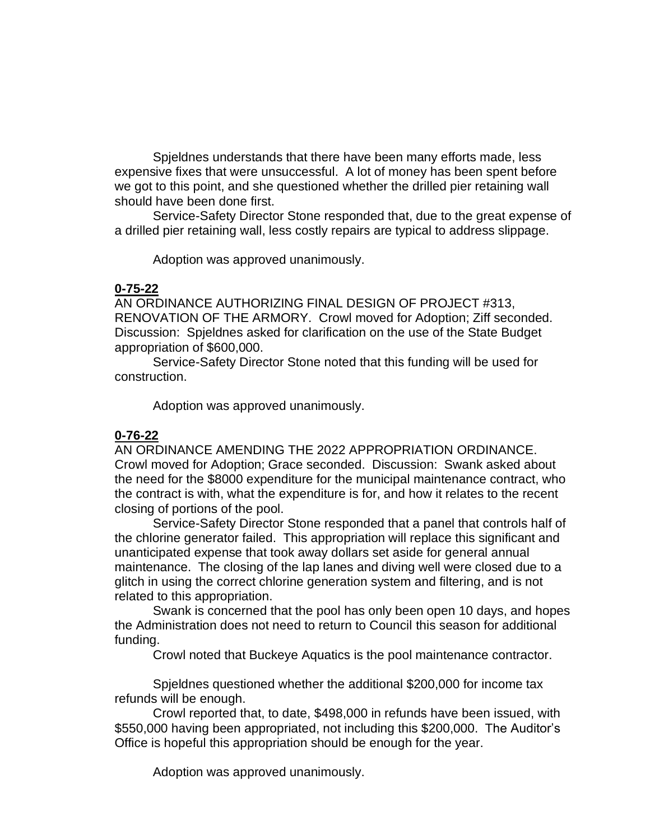Spjeldnes understands that there have been many efforts made, less expensive fixes that were unsuccessful. A lot of money has been spent before we got to this point, and she questioned whether the drilled pier retaining wall should have been done first.

Service-Safety Director Stone responded that, due to the great expense of a drilled pier retaining wall, less costly repairs are typical to address slippage.

Adoption was approved unanimously.

### **0-75-22**

AN ORDINANCE AUTHORIZING FINAL DESIGN OF PROJECT #313, RENOVATION OF THE ARMORY. Crowl moved for Adoption; Ziff seconded. Discussion: Spjeldnes asked for clarification on the use of the State Budget appropriation of \$600,000.

Service-Safety Director Stone noted that this funding will be used for construction.

Adoption was approved unanimously.

## **0-76-22**

AN ORDINANCE AMENDING THE 2022 APPROPRIATION ORDINANCE. Crowl moved for Adoption; Grace seconded. Discussion: Swank asked about the need for the \$8000 expenditure for the municipal maintenance contract, who the contract is with, what the expenditure is for, and how it relates to the recent closing of portions of the pool.

Service-Safety Director Stone responded that a panel that controls half of the chlorine generator failed. This appropriation will replace this significant and unanticipated expense that took away dollars set aside for general annual maintenance. The closing of the lap lanes and diving well were closed due to a glitch in using the correct chlorine generation system and filtering, and is not related to this appropriation.

Swank is concerned that the pool has only been open 10 days, and hopes the Administration does not need to return to Council this season for additional funding.

Crowl noted that Buckeye Aquatics is the pool maintenance contractor.

Spjeldnes questioned whether the additional \$200,000 for income tax refunds will be enough.

Crowl reported that, to date, \$498,000 in refunds have been issued, with \$550,000 having been appropriated, not including this \$200,000. The Auditor's Office is hopeful this appropriation should be enough for the year.

Adoption was approved unanimously.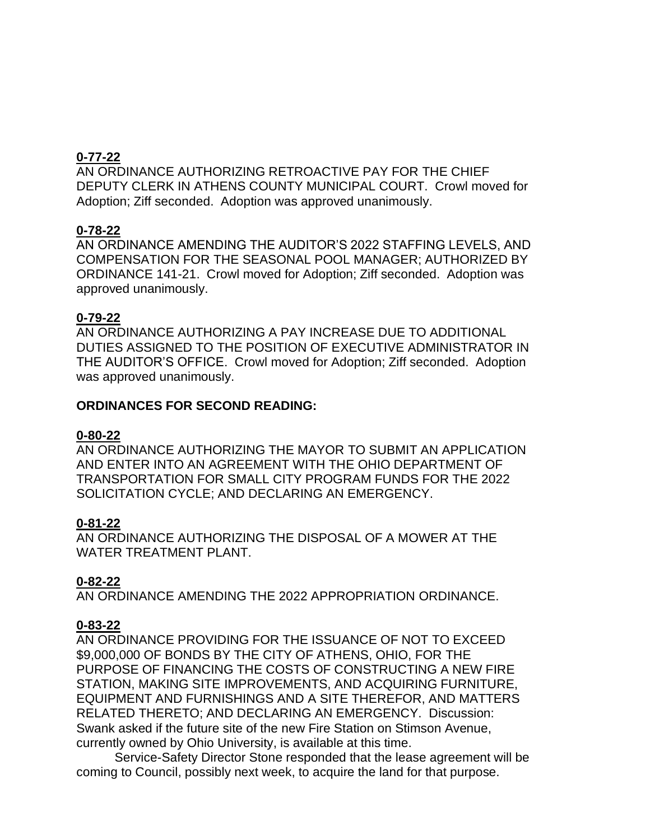# **0-77-22**

AN ORDINANCE AUTHORIZING RETROACTIVE PAY FOR THE CHIEF DEPUTY CLERK IN ATHENS COUNTY MUNICIPAL COURT. Crowl moved for Adoption; Ziff seconded. Adoption was approved unanimously.

## **0-78-22**

AN ORDINANCE AMENDING THE AUDITOR'S 2022 STAFFING LEVELS, AND COMPENSATION FOR THE SEASONAL POOL MANAGER; AUTHORIZED BY ORDINANCE 141-21. Crowl moved for Adoption; Ziff seconded. Adoption was approved unanimously.

## **0-79-22**

AN ORDINANCE AUTHORIZING A PAY INCREASE DUE TO ADDITIONAL DUTIES ASSIGNED TO THE POSITION OF EXECUTIVE ADMINISTRATOR IN THE AUDITOR'S OFFICE. Crowl moved for Adoption; Ziff seconded. Adoption was approved unanimously.

## **ORDINANCES FOR SECOND READING:**

## **0-80-22**

AN ORDINANCE AUTHORIZING THE MAYOR TO SUBMIT AN APPLICATION AND ENTER INTO AN AGREEMENT WITH THE OHIO DEPARTMENT OF TRANSPORTATION FOR SMALL CITY PROGRAM FUNDS FOR THE 2022 SOLICITATION CYCLE; AND DECLARING AN EMERGENCY.

# **0-81-22**

AN ORDINANCE AUTHORIZING THE DISPOSAL OF A MOWER AT THE WATER TREATMENT PLANT.

# **0-82-22**

AN ORDINANCE AMENDING THE 2022 APPROPRIATION ORDINANCE.

## **0-83-22**

AN ORDINANCE PROVIDING FOR THE ISSUANCE OF NOT TO EXCEED \$9,000,000 OF BONDS BY THE CITY OF ATHENS, OHIO, FOR THE PURPOSE OF FINANCING THE COSTS OF CONSTRUCTING A NEW FIRE STATION, MAKING SITE IMPROVEMENTS, AND ACQUIRING FURNITURE, EQUIPMENT AND FURNISHINGS AND A SITE THEREFOR, AND MATTERS RELATED THERETO; AND DECLARING AN EMERGENCY. Discussion: Swank asked if the future site of the new Fire Station on Stimson Avenue, currently owned by Ohio University, is available at this time.

Service-Safety Director Stone responded that the lease agreement will be coming to Council, possibly next week, to acquire the land for that purpose.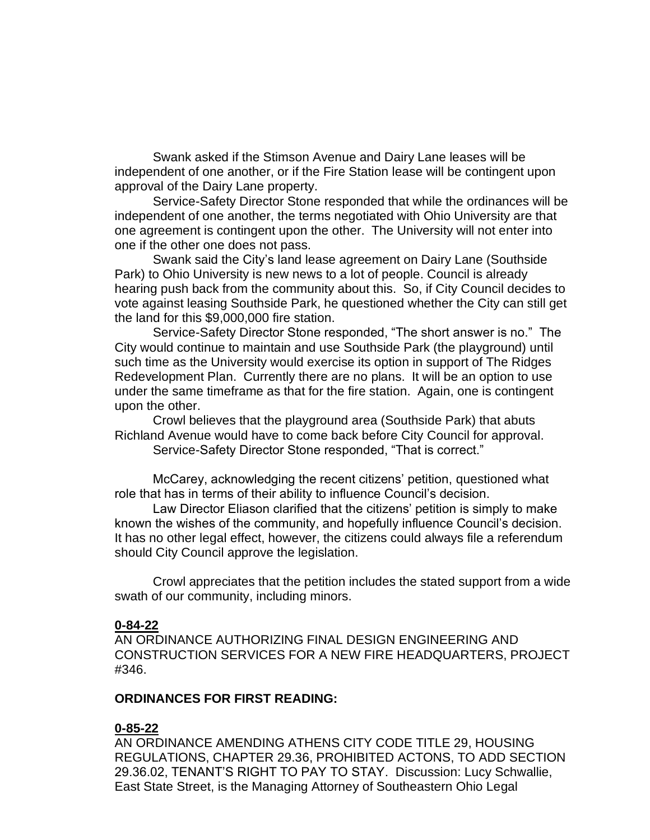Swank asked if the Stimson Avenue and Dairy Lane leases will be independent of one another, or if the Fire Station lease will be contingent upon approval of the Dairy Lane property.

Service-Safety Director Stone responded that while the ordinances will be independent of one another, the terms negotiated with Ohio University are that one agreement is contingent upon the other. The University will not enter into one if the other one does not pass.

Swank said the City's land lease agreement on Dairy Lane (Southside Park) to Ohio University is new news to a lot of people. Council is already hearing push back from the community about this. So, if City Council decides to vote against leasing Southside Park, he questioned whether the City can still get the land for this \$9,000,000 fire station.

Service-Safety Director Stone responded, "The short answer is no." The City would continue to maintain and use Southside Park (the playground) until such time as the University would exercise its option in support of The Ridges Redevelopment Plan. Currently there are no plans. It will be an option to use under the same timeframe as that for the fire station. Again, one is contingent upon the other.

Crowl believes that the playground area (Southside Park) that abuts Richland Avenue would have to come back before City Council for approval. Service-Safety Director Stone responded, "That is correct."

McCarey, acknowledging the recent citizens' petition, questioned what role that has in terms of their ability to influence Council's decision.

Law Director Eliason clarified that the citizens' petition is simply to make known the wishes of the community, and hopefully influence Council's decision. It has no other legal effect, however, the citizens could always file a referendum should City Council approve the legislation.

Crowl appreciates that the petition includes the stated support from a wide swath of our community, including minors.

#### **0-84-22**

AN ORDINANCE AUTHORIZING FINAL DESIGN ENGINEERING AND CONSTRUCTION SERVICES FOR A NEW FIRE HEADQUARTERS, PROJECT #346.

#### **ORDINANCES FOR FIRST READING:**

### **0-85-22**

AN ORDINANCE AMENDING ATHENS CITY CODE TITLE 29, HOUSING REGULATIONS, CHAPTER 29.36, PROHIBITED ACTONS, TO ADD SECTION 29.36.02, TENANT'S RIGHT TO PAY TO STAY. Discussion: Lucy Schwallie, East State Street, is the Managing Attorney of Southeastern Ohio Legal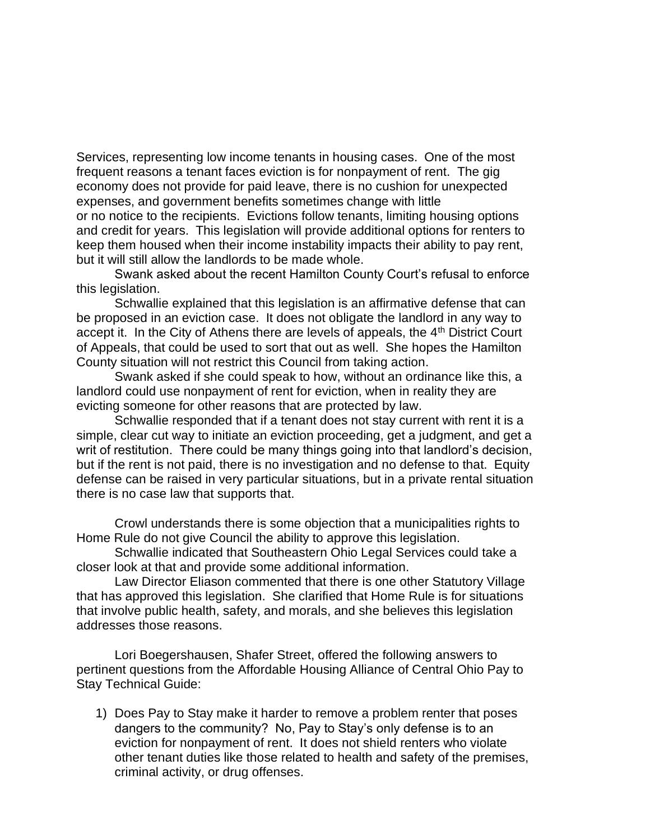Services, representing low income tenants in housing cases. One of the most frequent reasons a tenant faces eviction is for nonpayment of rent. The gig economy does not provide for paid leave, there is no cushion for unexpected expenses, and government benefits sometimes change with little or no notice to the recipients. Evictions follow tenants, limiting housing options and credit for years. This legislation will provide additional options for renters to keep them housed when their income instability impacts their ability to pay rent, but it will still allow the landlords to be made whole.

Swank asked about the recent Hamilton County Court's refusal to enforce this legislation.

Schwallie explained that this legislation is an affirmative defense that can be proposed in an eviction case. It does not obligate the landlord in any way to accept it. In the City of Athens there are levels of appeals, the 4<sup>th</sup> District Court of Appeals, that could be used to sort that out as well. She hopes the Hamilton County situation will not restrict this Council from taking action.

Swank asked if she could speak to how, without an ordinance like this, a landlord could use nonpayment of rent for eviction, when in reality they are evicting someone for other reasons that are protected by law.

Schwallie responded that if a tenant does not stay current with rent it is a simple, clear cut way to initiate an eviction proceeding, get a judgment, and get a writ of restitution. There could be many things going into that landlord's decision, but if the rent is not paid, there is no investigation and no defense to that. Equity defense can be raised in very particular situations, but in a private rental situation there is no case law that supports that.

Crowl understands there is some objection that a municipalities rights to Home Rule do not give Council the ability to approve this legislation.

Schwallie indicated that Southeastern Ohio Legal Services could take a closer look at that and provide some additional information.

Law Director Eliason commented that there is one other Statutory Village that has approved this legislation. She clarified that Home Rule is for situations that involve public health, safety, and morals, and she believes this legislation addresses those reasons.

Lori Boegershausen, Shafer Street, offered the following answers to pertinent questions from the Affordable Housing Alliance of Central Ohio Pay to Stay Technical Guide:

1) Does Pay to Stay make it harder to remove a problem renter that poses dangers to the community? No, Pay to Stay's only defense is to an eviction for nonpayment of rent. It does not shield renters who violate other tenant duties like those related to health and safety of the premises, criminal activity, or drug offenses.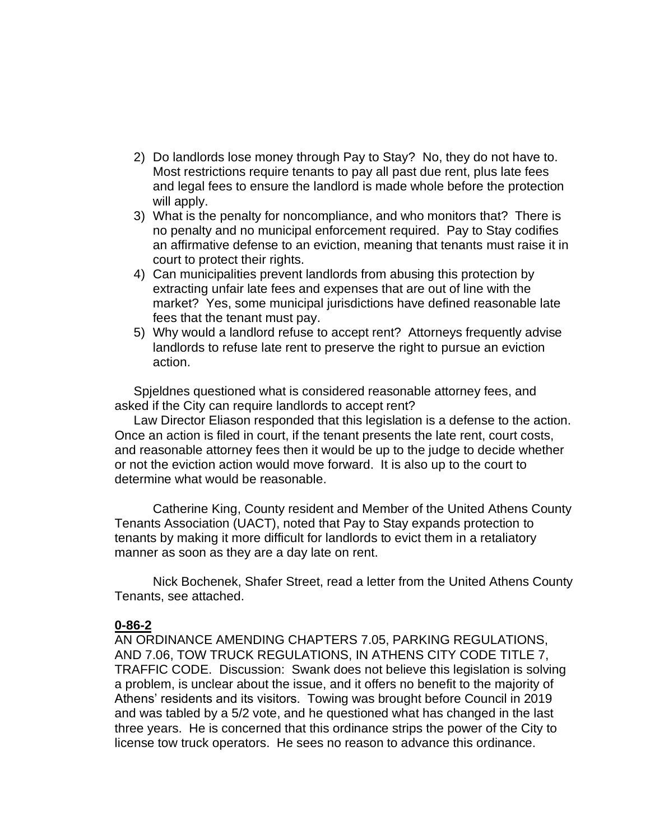- 2) Do landlords lose money through Pay to Stay? No, they do not have to. Most restrictions require tenants to pay all past due rent, plus late fees and legal fees to ensure the landlord is made whole before the protection will apply.
- 3) What is the penalty for noncompliance, and who monitors that? There is no penalty and no municipal enforcement required. Pay to Stay codifies an affirmative defense to an eviction, meaning that tenants must raise it in court to protect their rights.
- 4) Can municipalities prevent landlords from abusing this protection by extracting unfair late fees and expenses that are out of line with the market? Yes, some municipal jurisdictions have defined reasonable late fees that the tenant must pay.
- 5) Why would a landlord refuse to accept rent? Attorneys frequently advise landlords to refuse late rent to preserve the right to pursue an eviction action.

Spjeldnes questioned what is considered reasonable attorney fees, and asked if the City can require landlords to accept rent?

Law Director Eliason responded that this legislation is a defense to the action. Once an action is filed in court, if the tenant presents the late rent, court costs, and reasonable attorney fees then it would be up to the judge to decide whether or not the eviction action would move forward. It is also up to the court to determine what would be reasonable.

Catherine King, County resident and Member of the United Athens County Tenants Association (UACT), noted that Pay to Stay expands protection to tenants by making it more difficult for landlords to evict them in a retaliatory manner as soon as they are a day late on rent.

Nick Bochenek, Shafer Street, read a letter from the United Athens County Tenants, see attached.

#### **0-86-2**

AN ORDINANCE AMENDING CHAPTERS 7.05, PARKING REGULATIONS, AND 7.06, TOW TRUCK REGULATIONS, IN ATHENS CITY CODE TITLE 7, TRAFFIC CODE. Discussion: Swank does not believe this legislation is solving a problem, is unclear about the issue, and it offers no benefit to the majority of Athens' residents and its visitors. Towing was brought before Council in 2019 and was tabled by a 5/2 vote, and he questioned what has changed in the last three years. He is concerned that this ordinance strips the power of the City to license tow truck operators. He sees no reason to advance this ordinance.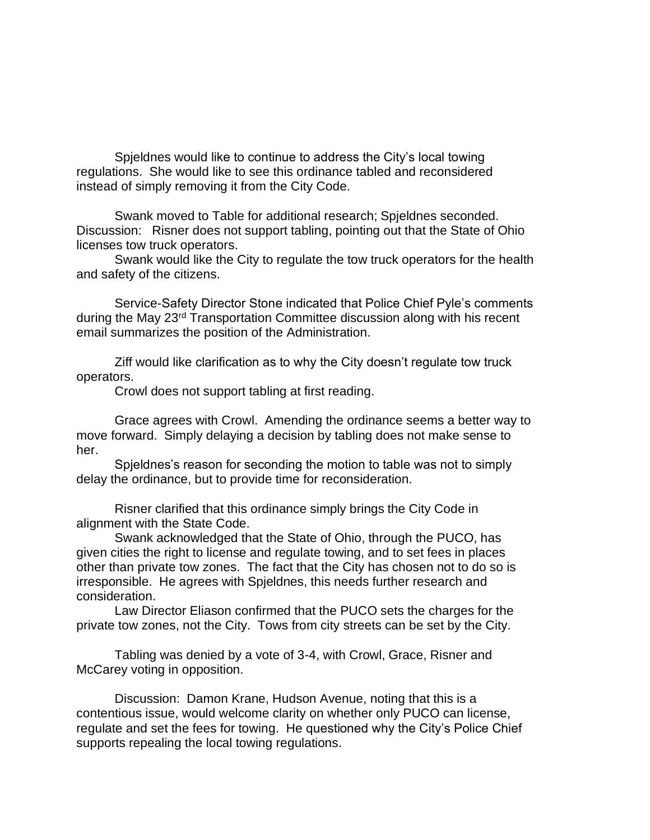Spjeldnes would like to continue to address the City's local towing regulations. She would like to see this ordinance tabled and reconsidered instead of simply removing it from the City Code.

Swank moved to Table for additional research; Spjeldnes seconded. Discussion: Risner does not support tabling, pointing out that the State of Ohio licenses tow truck operators.

Swank would like the City to regulate the tow truck operators for the health and safety of the citizens.

Service-Safety Director Stone indicated that Police Chief Pyle's comments during the May 23rd Transportation Committee discussion along with his recent email summarizes the position of the Administration.

Ziff would like clarification as to why the City doesn't regulate tow truck operators.

Crowl does not support tabling at first reading.

Grace agrees with Crowl. Amending the ordinance seems a better way to move forward. Simply delaying a decision by tabling does not make sense to her.

Spjeldnes's reason for seconding the motion to table was not to simply delay the ordinance, but to provide time for reconsideration.

Risner clarified that this ordinance simply brings the City Code in alignment with the State Code.

Swank acknowledged that the State of Ohio, through the PUCO, has given cities the right to license and regulate towing, and to set fees in places other than private tow zones. The fact that the City has chosen not to do so is irresponsible. He agrees with Spjeldnes, this needs further research and consideration.

Law Director Eliason confirmed that the PUCO sets the charges for the private tow zones, not the City. Tows from city streets can be set by the City.

Tabling was denied by a vote of 3-4, with Crowl, Grace, Risner and McCarey voting in opposition.

Discussion: Damon Krane, Hudson Avenue, noting that this is a contentious issue, would welcome clarity on whether only PUCO can license, regulate and set the fees for towing. He questioned why the City's Police Chief supports repealing the local towing regulations.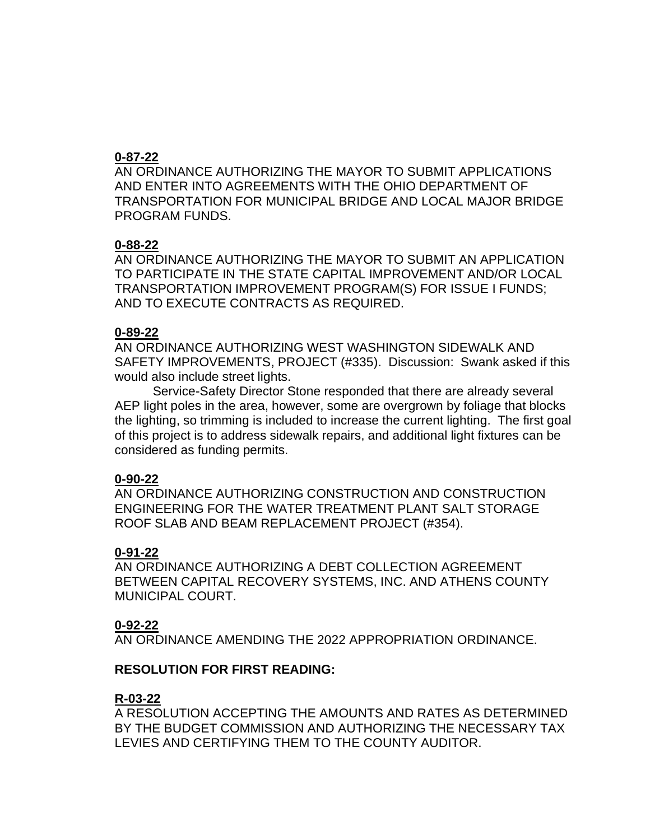## **0-87-22**

AN ORDINANCE AUTHORIZING THE MAYOR TO SUBMIT APPLICATIONS AND ENTER INTO AGREEMENTS WITH THE OHIO DEPARTMENT OF TRANSPORTATION FOR MUNICIPAL BRIDGE AND LOCAL MAJOR BRIDGE PROGRAM FUNDS.

## **0-88-22**

AN ORDINANCE AUTHORIZING THE MAYOR TO SUBMIT AN APPLICATION TO PARTICIPATE IN THE STATE CAPITAL IMPROVEMENT AND/OR LOCAL TRANSPORTATION IMPROVEMENT PROGRAM(S) FOR ISSUE I FUNDS; AND TO EXECUTE CONTRACTS AS REQUIRED.

## **0-89-22**

AN ORDINANCE AUTHORIZING WEST WASHINGTON SIDEWALK AND SAFETY IMPROVEMENTS, PROJECT (#335). Discussion: Swank asked if this would also include street lights.

Service-Safety Director Stone responded that there are already several AEP light poles in the area, however, some are overgrown by foliage that blocks the lighting, so trimming is included to increase the current lighting. The first goal of this project is to address sidewalk repairs, and additional light fixtures can be considered as funding permits.

# **0-90-22**

AN ORDINANCE AUTHORIZING CONSTRUCTION AND CONSTRUCTION ENGINEERING FOR THE WATER TREATMENT PLANT SALT STORAGE ROOF SLAB AND BEAM REPLACEMENT PROJECT (#354).

# **0-91-22**

AN ORDINANCE AUTHORIZING A DEBT COLLECTION AGREEMENT BETWEEN CAPITAL RECOVERY SYSTEMS, INC. AND ATHENS COUNTY MUNICIPAL COURT.

## **0-92-22**

AN ORDINANCE AMENDING THE 2022 APPROPRIATION ORDINANCE.

# **RESOLUTION FOR FIRST READING:**

# **R-03-22**

A RESOLUTION ACCEPTING THE AMOUNTS AND RATES AS DETERMINED BY THE BUDGET COMMISSION AND AUTHORIZING THE NECESSARY TAX LEVIES AND CERTIFYING THEM TO THE COUNTY AUDITOR.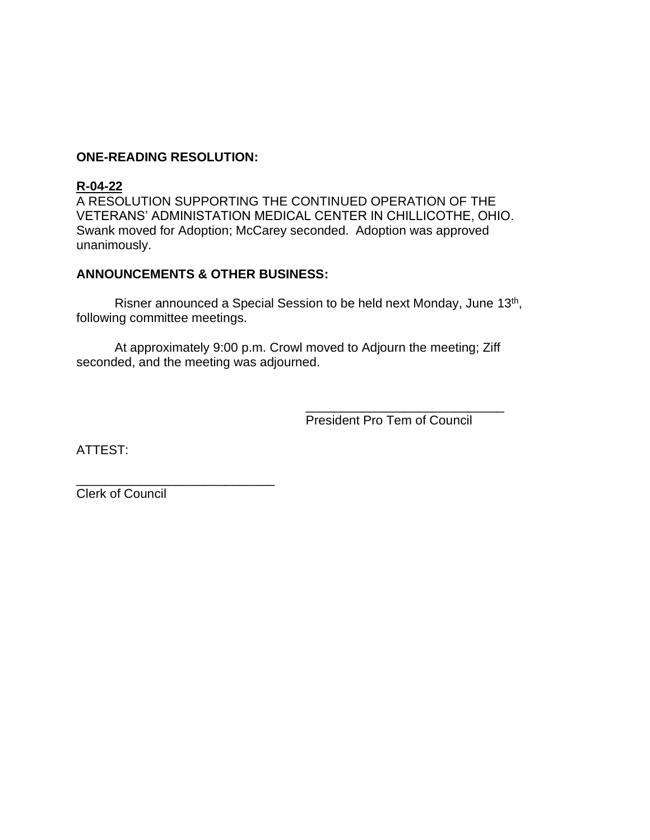## **ONE-READING RESOLUTION:**

## **R-04-22**

A RESOLUTION SUPPORTING THE CONTINUED OPERATION OF THE VETERANS' ADMINISTATION MEDICAL CENTER IN CHILLICOTHE, OHIO. Swank moved for Adoption; McCarey seconded. Adoption was approved unanimously.

## **ANNOUNCEMENTS & OTHER BUSINESS:**

Risner announced a Special Session to be held next Monday, June 13<sup>th</sup>, following committee meetings.

At approximately 9:00 p.m. Crowl moved to Adjourn the meeting; Ziff seconded, and the meeting was adjourned.

> \_\_\_\_\_\_\_\_\_\_\_\_\_\_\_\_\_\_\_\_\_\_\_\_\_\_\_\_ President Pro Tem of Council

ATTEST:

\_\_\_\_\_\_\_\_\_\_\_\_\_\_\_\_\_\_\_\_\_\_\_\_\_\_\_\_ Clerk of Council